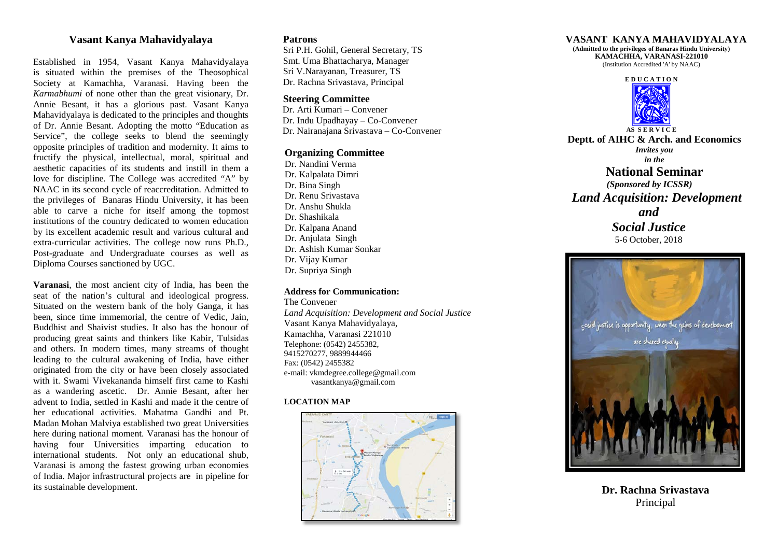# **Vasant Kanya Mahavidyalaya**

Established in 1954, Vasant Kanya Mahavidyalaya is situated within the premises of the Theosophical Society at Kamachha, Varanasi. Having been the *Karmabhumi* of none other than the great visionary, Dr. Annie Besant, it has a glorious past. Vasant Kanya Mahavidyalaya is dedicated to the principles and thoughts of Dr. Annie Besant. Adopting the motto "Education as Service", the college seeks to blend the seemingly opposite principles of tradition and modernity. It aims to fructify the physical, intellectual, moral, spiritual and aesthetic capacities of its students and instill in them a love for discipline. The College was accredited "A" by NAAC in its second cycle of reaccreditation. Admitted to the privileges of Banaras Hindu University, it has been able to carve a niche for itself among the topmost institutions of the country dedicated to women education by its excellent academic result and various cultural and extra-curricular activities. The college now runs Ph.D., Post-graduate and Undergraduate courses as well as Diploma Courses sanctioned by UGC.

**Varanasi**, the most ancient city of India, has been the seat of the nation's cultural and ideological progress. Situated on the western bank of the holy Ganga, it has been, since time immemorial, the centre of Vedic, Jain, Buddhist and Shaivist studies. It also has the honour of producing great saints and thinkers like Kabir, Tulsidas and others. In modern times, many streams of thought leading to the cultural awakening of India, have either originated from the city or have been closely associated with it. Swami Vivekananda himself first came to Kashi as a wandering ascetic. Dr. Annie Besant, after her advent to India, settled in Kashi and made it the centre of her educational activities. Mahatma Gandhi and Pt. Madan Mohan Malviya established two great Universities here during national moment. Varanasi has the honour of having four Universities imparting education to international students. Not only an educational shub, Varanasi is among the fastest growing urban economies of India. Major infrastructural projects are in pipeline for its sustainable development.

# **Patrons**

Sri P.H. Gohil, General Secretary, TS Smt. Uma Bhattacharya, Manager Sri V.Narayanan, Treasurer, TS Dr. Rachna Srivastava, Principal

# **Steering Committee**

 Dr. Arti Kumari – Convener Dr. Indu Upadhayay – Co-Convener Dr. Nairanajana Srivastava – Co-Convener

## **Organizing Committee**

Dr. Nandini Verma Dr. Kalpalata Dimri Dr. Bina Singh Dr. Renu Srivastava Dr. Anshu Shukla Dr. Shashikala Dr. Kalpana Anand Dr. Anjulata Singh Dr. Ashish Kumar Sonkar Dr. Vijay Kumar Dr. Supriya Singh

#### **Address for Communication:**

The Convener *Land Acquisition: Development and Social Justice* Vasant Kanya Mahavidyalaya, Kamachha, Varanasi 221010 Telephone: (0542) 2455382, 9415270277, 9889944466 Fax: (0542) 2455382 e-mail: vkmdegree.college@gmail.com vasantkanya@gmail.com

#### **LOCATION MAP**





**(Admitted to the privileges of Banaras Hindu University) KAMACHHA, VARANASI-221010** (Institution Accredited 'A' by NAAC)



**Deptt. of AIHC & Arch. and Economics** *Invites you in the* **National Seminar** *(Sponsored by ICSSR) Land Acquisition: Development and Social Justice*

5-6 October, 2018



**Dr. Rachna Srivastava** Principal